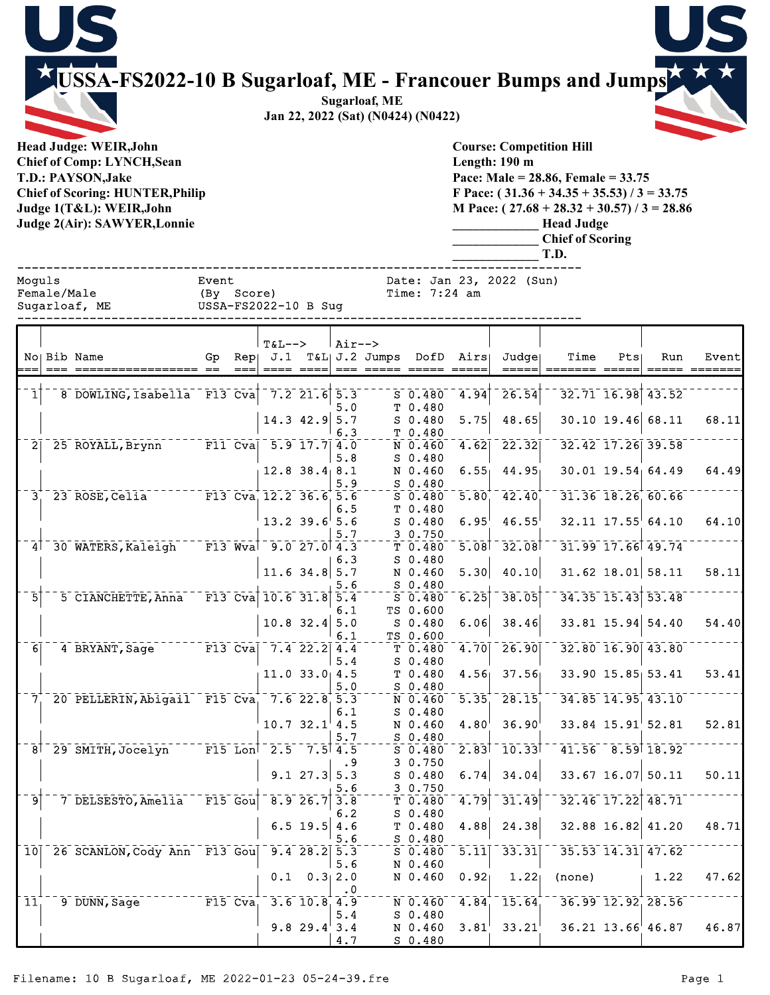**USSA-FS2022-10 B Sugarloaf, ME - Francouer Bumps and Jumps**

**Sugarloaf, ME Jan 22, 2022 (Sat) (N0424) (N0422)**

**Head Judge: WEIR,John Chief of Comp: LYNCH,Sean T.D.: PAYSON,Jake Chief of Scoring: HUNTER,Philip Judge 1(T&L): WEIR,John Judge 2(Air): SAWYER,Lonnie** 



**Course: Competition Hill Length: 190 m Pace: Male = 28.86, Female = 33.75 F Pace: ( 31.36 + 34.35 + 35.53) / 3 = 33.75 M Pace: ( 27.68 + 28.32 + 30.57) / 3 = 28.86 \_\_\_\_\_\_\_\_\_\_\_\_\_ Head Judge \_\_\_\_\_\_\_\_\_\_\_\_\_ Chief of Scoring \_\_\_\_\_\_\_\_\_\_\_\_\_ T.D.**

|                |             |                                          |       |            |                         |                     |                          |                                          |                                    |                                            | .                 |     |                         |       |
|----------------|-------------|------------------------------------------|-------|------------|-------------------------|---------------------|--------------------------|------------------------------------------|------------------------------------|--------------------------------------------|-------------------|-----|-------------------------|-------|
| Moquls         | Female/Male | Sugarloaf, ME                            | Event | (By Score) | USSA-FS2022-10 B Sug    |                     |                          | Time: $7:24$ am                          | Date: Jan 23, 2022 (Sun)           |                                            |                   |     |                         |       |
|                |             | No Bib Name                              | Gp    |            | <b>T&amp;L--&gt;</b>    |                     | $\lambda ir \rightarrow$ |                                          | Rep: J.1 T&L: J.2 Jumps DofD Airs: | Judge                                      | Time              | Pts | Run                     | Event |
| 1              |             | 8 DOWLING, Isabella F13 Cva 7.2 21.6 5.3 |       |            |                         |                     |                          | $S_0.480$                                |                                    | $\begin{bmatrix} 4.94 \end{bmatrix}$ 26.54 |                   |     | $32.71$ $16.98$ $43.52$ |       |
|                |             |                                          |       |            |                         | $14.3$ 42.9 5.7     | 5.0<br>6.3               | T <sub>0.480</sub><br>S 0.480<br>T 0.480 |                                    | $5.75$ 48.65                               |                   |     | $30.10$ 19.46 68.11     | 68.11 |
| 2 <sup>1</sup> |             | 25 ROYALL, Brynn                         |       | $F11$ Cval |                         | $5.9$ 17.7 $4.0$    | 5.8                      | N 0.460<br>$S_0.480$                     | 4.62                               | 22.32                                      |                   |     | 32.42 17.26 39.58       |       |
|                |             |                                          |       |            |                         | $12.8$ $38.4$ $8.1$ | 5.9                      | N 0.460<br>$S_0.480$                     |                                    | $6.55 - 44.95$                             |                   |     | $30.01$ 19.54 64.49     | 64.49 |
|                |             | 23 ROSE, Celia                           |       |            | F13 Cva $12.2$ 36.6 5.6 |                     | 6.5                      | S 0.480<br>T <sub>0.480</sub>            |                                    | 5.80, 42.40                                | 31.36 18.26 60.66 |     |                         |       |
|                |             |                                          |       |            |                         | $13.2$ 39.6 5.6     |                          | S 0.480                                  | $6.95^+$                           | $46.55^{\circ}$                            |                   |     | $32.11$ $17.55$ 64.10   | 64,10 |

|                 | 29 WOOD, CCIIQ               | rij vva                            | <b>IL.L.JU.U</b>   |                       | .         | . v. <del>.</del> vv | <u>J.VV</u>       | <b>EL.EV</b>                             | JL.JV LV.ZV.                                             | <u></u> |       |
|-----------------|------------------------------|------------------------------------|--------------------|-----------------------|-----------|----------------------|-------------------|------------------------------------------|----------------------------------------------------------|---------|-------|
|                 |                              |                                    |                    |                       | 6.5       | T 0.480              |                   |                                          |                                                          |         |       |
|                 |                              |                                    | $13.2$ 39.6 5.6    |                       |           | $S$ 0.480            | $6.95^{\circ}$    | 46.55                                    | $32.11$ $17.55$ <sup>64.10</sup>                         |         | 64.10 |
|                 |                              |                                    |                    |                       | 5.7       | 3 0.750              |                   |                                          |                                                          |         |       |
|                 | 30 WATERS, Kaleigh           | $\overline{F13}$ Wval 9.0 27.0 4.3 |                    |                       |           | $T$ 0.480            |                   | $5.08$ <sup>1</sup> $32.08$ <sup>1</sup> | 31.99 17.66 49.74                                        |         |       |
|                 |                              |                                    |                    |                       | 6.3       | $S$ 0.480            |                   |                                          |                                                          |         |       |
|                 |                              |                                    | $11.6$ 34.8 5.7    |                       |           | N 0.460              | 5.30              | 40.10                                    | $31.62$ 18.01 58.11                                      |         | 58.11 |
|                 |                              |                                    |                    |                       | 5.6       | $S_0.480$            |                   |                                          |                                                          |         |       |
| 51              | 5 CIANCHETTE, Anna           | $\sqrt{F13}$ Cva 10.6 31.8 5.4     |                    |                       |           | $S$ 0.480            | 6.25              | 38.05                                    | 34.35 15.43 53.48                                        |         |       |
|                 |                              |                                    |                    |                       | 6.1       | TS 0.600             |                   |                                          |                                                          |         |       |
|                 |                              |                                    | $10.8$ 32.4 5.0    |                       |           | $S_0.480$            | 6.06              | 38.46                                    | $33.81$ 15.94 54.40                                      |         | 54.40 |
|                 |                              |                                    |                    |                       | 6.1       | TS 0.600             |                   |                                          |                                                          |         |       |
| 6 <sup>1</sup>  | 4 BRYANT, Sage               | $F13$ Cva                          |                    | $7.4$ 22.2 4.4        |           | $T$ 0.480            | 4.70              | 26.90                                    | 32.80 16.90 43.80                                        |         |       |
|                 |                              |                                    |                    |                       | 5.4       | $S$ 0.480            |                   |                                          |                                                          |         |       |
|                 |                              |                                    | $11.0$ 33.0 4.5    |                       |           | T 0.480              | 4.56 <sub>1</sub> | 37.56                                    | 33.90 15.85 53.41                                        |         | 53.41 |
|                 |                              |                                    |                    |                       | 5.0       | $S$ 0.480            |                   |                                          |                                                          |         |       |
| 7.              | 20 PELLERIN, Abigail F15 Cva |                                    |                    | $7.6$ 22.8 5.3        |           | N 0.460              | 5.35              | 28.15                                    | 34.85 14.95 43.10                                        |         |       |
|                 |                              |                                    |                    |                       | 6.1       | $S$ 0.480            |                   |                                          |                                                          |         |       |
|                 |                              |                                    | $10.7 \, 32.1$ 4.5 |                       |           | N 0.460              | 4.80 <sup>1</sup> | 36.90                                    | $33.84$ $15.91$ <sup><math>\overline{52.81}</math></sup> |         | 52.81 |
|                 |                              |                                    |                    |                       | 5.7       | $S_0.480$            |                   |                                          |                                                          |         |       |
| 8 <sup>1</sup>  | 29 SMITH, Jocelyn            | $F15$ Lon <sup>1</sup> 2.5 7.5 4.5 |                    |                       |           | $S$ 0.480            |                   | $2.83$ <sup>1</sup> $10.33$ <sup>1</sup> | $41.56 - 8.59$ 18.92                                     |         |       |
|                 |                              |                                    |                    |                       | $\cdot$ 9 | 3 0.750              |                   |                                          |                                                          |         |       |
|                 |                              |                                    |                    | $9.1$ 27.3 5.3        |           | $S$ 0.480            | 6.74              | 34.04                                    | $33.67$ 16.07 50.11                                      |         | 50.11 |
|                 |                              |                                    |                    |                       | 5.6       | 3 0.750              |                   |                                          |                                                          |         |       |
| او              | 7 DELSESTO, Amelia           | $\mathsf{F}15$ Gou                 |                    | $\overline{8.9}$ 26.7 | 3.8       | $T$ 0.480            | 4.79              | $\overline{31.49}$                       | 32.46 17.22 48.71                                        |         |       |
|                 |                              |                                    |                    |                       | 6.2       | $S$ 0.480            |                   |                                          |                                                          |         |       |
|                 |                              |                                    |                    | $6.5$ 19.5            | 4.6       | T <sub>0.480</sub>   | 4.88              | 24.38                                    | 32.88 16.82 41.20                                        |         | 48.71 |
|                 |                              |                                    |                    |                       | 5.6       | $S$ 0.480            |                   |                                          |                                                          |         |       |
| $\overline{10}$ | 26 SCANLON, Cody Ann F13 Gou |                                    |                    | $9.4$ 28.2 5.3        |           | $S$ 0.480            | 5.11              | 33.31                                    | 35.53 14.31 47.62                                        |         |       |
|                 |                              |                                    |                    |                       | 5.6       | N 0.460              |                   |                                          |                                                          |         |       |
|                 |                              |                                    | 0.1                |                       | 0.3 2.0   | N 0.460              | 0.92              | 1.22 <sub>1</sub>                        | (none)                                                   | 1.22    | 47.62 |
|                 |                              |                                    |                    |                       | . 0       |                      |                   |                                          |                                                          |         |       |
| $\mathbf{11}$   | 9 DUNN, Sage                 | $F15$ $Cva$                        |                    | $3.6$ 10.8 4.9        |           | N 0.460              | 4.84              | 15.64                                    | 36.99 12.92 28.56                                        |         |       |
|                 |                              |                                    |                    |                       | 5.4       | $S$ 0.480            |                   |                                          |                                                          |         |       |
|                 |                              |                                    |                    | $9.8$ 29.4 3.4        |           | N 0.460              | 3.81'             | 33.21'                                   | 36.21 13.66 46.87                                        |         | 46.87 |
|                 |                              |                                    |                    |                       | 4.7       | $S$ 0.480            |                   |                                          |                                                          |         |       |
|                 |                              |                                    |                    |                       |           |                      |                   |                                          |                                                          |         |       |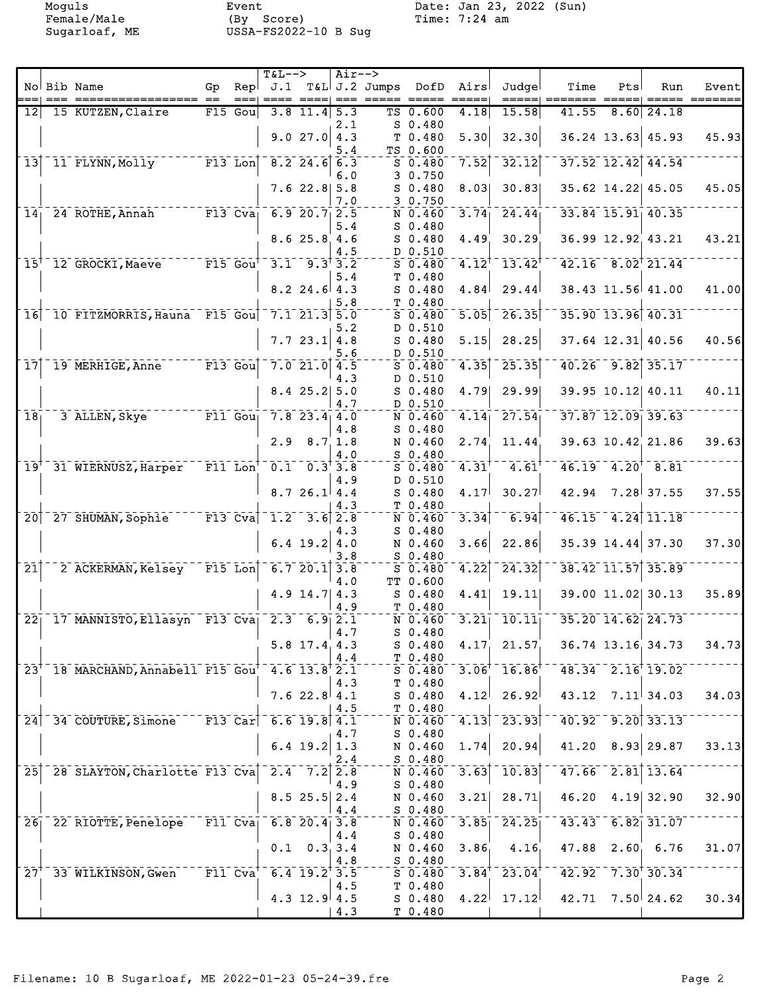|                            |        |                                                                      |                        |              | $T&L-->$                                        |                                                    | $Air--$ |                       |                         |                     |                                                              |                                    |     |                                   |                  |
|----------------------------|--------|----------------------------------------------------------------------|------------------------|--------------|-------------------------------------------------|----------------------------------------------------|---------|-----------------------|-------------------------|---------------------|--------------------------------------------------------------|------------------------------------|-----|-----------------------------------|------------------|
|                            | $== =$ | No Bib Name<br>===========<br>===== ==                               | Go                     | Repl<br>$==$ | J.1<br>$== == =$                                |                                                    |         | ====  === ===== ===== | T&L J.2 Jumps DofD Airs |                     | Judgel<br>=====                                              | Time                               | Pts | Run                               | Event<br>======= |
| 12                         |        | 15 KUTZEN, Claire                                                    |                        | $F15$ Gou    |                                                 | $3.8$ 11.4 5.3                                     |         |                       | TS 0.600                | 4.18                | 15.58                                                        | 41.55                              |     | $8.60$ 24.18                      |                  |
|                            |        |                                                                      |                        |              |                                                 |                                                    | 2.1     |                       | $S_0.480$               |                     |                                                              |                                    |     |                                   |                  |
|                            |        |                                                                      |                        |              |                                                 | 9.027.04.3                                         |         |                       | T 0.480                 | 5.30                | 32.30                                                        |                                    |     | $36.24$ 13.63 45.93               | 45.93            |
|                            |        | 11 FLYNN, Molly F13 Lon 8.2 24.6 6.3                                 |                        |              |                                                 |                                                    | 5.4     |                       | TS 0.600                | 7.52                | 32.12                                                        |                                    |     | $37.52$ 12.42 44.54               |                  |
| $\overline{1}3$            |        |                                                                      |                        |              |                                                 |                                                    | 6.0     |                       | $S$ 0.480<br>3 0.750    |                     |                                                              |                                    |     |                                   |                  |
|                            |        |                                                                      |                        |              |                                                 | $7.6$ 22.8 5.8                                     |         |                       | $S$ 0.480               | 8.03                | 30.83                                                        |                                    |     | 35.62 14.22 45.05                 | 45.05            |
|                            |        |                                                                      |                        |              |                                                 |                                                    | 7.0     |                       | 30.750                  |                     |                                                              |                                    |     |                                   |                  |
| 14 <sub>1</sub>            |        | 24 ROTHE, Annah F13 Cva <sub>l</sub> 6.9 20.7 2.5                    |                        |              |                                                 |                                                    |         |                       | N 0.460                 | 3.74                | 24.44                                                        |                                    |     | 33.84 15.91 40.35                 |                  |
|                            |        |                                                                      |                        |              |                                                 | 8.625.84.6                                         | 5.4     |                       | $S$ 0.480<br>$S$ 0.480  |                     | 30.29                                                        |                                    |     | 36.99 12.92 43.21                 | 43.21            |
|                            |        |                                                                      |                        |              |                                                 |                                                    | 4.5     |                       | D 0.510                 | 4.49                |                                                              |                                    |     |                                   |                  |
| $\bar{1}5^{\dagger}$       |        | 12 GROCKI, Maeve F15 Gout                                            |                        |              |                                                 | $3.1 - 9.3$ <sup>†</sup> $3.2$                     |         |                       | $S_0.480$               | $4.12^{\dagger}$    | $\overline{1}3.42^{\overline{1}}$                            |                                    |     | $42.16 - 8.02$ <sup>†</sup> 21.44 |                  |
|                            |        |                                                                      |                        |              |                                                 |                                                    | 5.4     |                       | T 0.480                 |                     |                                                              |                                    |     |                                   |                  |
|                            |        |                                                                      |                        |              |                                                 | $8.2$ 24.6 4.3                                     |         |                       | $S$ 0.480               | 4.84                | 29.44                                                        |                                    |     | 38.43 11.56 41.00                 | 41.00            |
| 16                         |        | 10 FITZMORRIS, Hauna F15 Goul                                        |                        |              | $7.1$ 21.3 5.0                                  |                                                    | 5.8     |                       | T 0.480<br>$S$ 0.480    | 5.05                | 26.35                                                        |                                    |     | 35.90 13.96 40.31                 |                  |
|                            |        |                                                                      |                        |              |                                                 |                                                    | 5.2     |                       | D 0.510                 |                     |                                                              |                                    |     |                                   |                  |
|                            |        |                                                                      |                        |              |                                                 | 7.723.1 4.8                                        |         |                       | $S$ 0.480               | 5.15                | 28.25                                                        |                                    |     | 37.64 12.31 40.56                 | 40.56            |
|                            |        |                                                                      |                        |              |                                                 |                                                    | 5.6     |                       | D 0.510                 |                     |                                                              |                                    |     |                                   |                  |
| $\overline{17}$            |        | 19 MERHIGE, Anne F13 Gou                                             |                        |              |                                                 | $7.0$ 21.0 4.5                                     | 4.3     |                       | $S_0.480$<br>D 0.510    | 4.35                | 25.35                                                        |                                    |     | $40.26 - 9.82$ 35.17              |                  |
|                            |        |                                                                      |                        |              |                                                 | $8.4$ 25.2 5.0                                     |         |                       | $S_0.480$               | 4.79                | 29.99                                                        |                                    |     | 39.95 10.12 40.11                 | 40.11            |
|                            |        |                                                                      |                        |              |                                                 |                                                    | 4.7     |                       | D 0.510                 |                     |                                                              |                                    |     |                                   |                  |
| 18 <sub>1</sub>            |        | 3 ALLEN, Skye F11 Gou                                                |                        |              |                                                 | $7.8$ 23.4 4.0                                     |         |                       | N 0.460                 | $\overline{4.14}$   | 27.54                                                        |                                    |     | $37.87$ $12.09$ $39.63$           |                  |
|                            |        |                                                                      |                        |              |                                                 |                                                    | 4.8     |                       | $S$ 0.480               |                     |                                                              |                                    |     |                                   |                  |
|                            |        |                                                                      |                        |              |                                                 | $2.9$ 8.7 1.8                                      | 4.0     |                       | N 0.460<br>$S_0.480$    | 2.74                | 11.44                                                        |                                    |     | 39.63 10.42 21.86                 | 39.63            |
|                            |        | 19 <sup>+</sup> 31 WIERNUSZ, Harper                                  | $-$ F11 $\text{Lon}^+$ |              |                                                 | $\overline{0.1}$ $\overline{0.3}$ $\overline{3.8}$ |         |                       | $S$ 0.480               | $4.31$ <sup>†</sup> | $\overline{4.61}$ <sup>1</sup>                               |                                    |     | $46.19 - 4.20 + 8.81$             |                  |
|                            |        |                                                                      |                        |              |                                                 |                                                    | 4.9     |                       | D 0.510                 |                     |                                                              |                                    |     |                                   |                  |
|                            |        |                                                                      |                        |              |                                                 | 8.726.14.4                                         |         |                       | $S$ 0.480               | 4.17                | 30.27                                                        | 42.94                              |     | $7.28$ 37.55                      | 37.55            |
|                            |        | 20 <sup>-27</sup> SHUMAN, Sophie                                     |                        |              | $-$ F13 Cva $-1.2$ 3.6 2.8                      |                                                    | 4.3     |                       | T 0.480                 | $\overline{3.34}$   | 6.94                                                         |                                    |     | $46.15 - 4.24$ 11.18              |                  |
|                            |        |                                                                      |                        |              |                                                 |                                                    | 4.3     |                       | N 0.460<br>$S_0.480$    |                     |                                                              |                                    |     |                                   |                  |
|                            |        |                                                                      |                        |              |                                                 | 6.4 $19.2$ 4.0                                     |         |                       | N 0.460                 | 3.66                | 22.86                                                        |                                    |     | 35.39 14.44 37.30                 | 37.30            |
|                            |        |                                                                      |                        |              |                                                 |                                                    | 3.8     |                       | $S$ 0.480               |                     |                                                              |                                    |     |                                   |                  |
| $\overline{21}$            |        | 2 ACKERMAN, Kelsey F15 Lon                                           |                        |              |                                                 | $6.7$ 20.1 3.8                                     |         |                       | $S$ 0.480               | 4.22                | 24.32                                                        |                                    |     | 38.42 11.57 35.89                 |                  |
|                            |        |                                                                      |                        |              |                                                 | $4.9$ 14.7   4.3                                   | 4.0     |                       | TT 0.600<br>$S$ 0.480   | 4.41                | 19.11                                                        |                                    |     | 39.00 11.02 30.13                 | 35.89            |
|                            |        |                                                                      |                        |              |                                                 |                                                    | 4.9     |                       | T 0.480                 |                     |                                                              |                                    |     |                                   |                  |
| $\overline{2}\overline{2}$ |        | 17 MANNISTO, Ellasyn F13 Cva 2.3 6.9 2.1                             |                        |              |                                                 |                                                    |         |                       | N 0.460                 | 3.21                | 10.11                                                        |                                    |     | $35.20$ $14.62$ $24.73$           |                  |
|                            |        |                                                                      |                        |              |                                                 |                                                    | 4.7     |                       | $S$ 0.480               |                     |                                                              |                                    |     |                                   |                  |
|                            |        |                                                                      |                        |              |                                                 | $5.8$ 17.4 4.3                                     | 4.4     |                       | $S_0.480$<br>T 0.480    | 4.17 <sub>1</sub>   | 21.57                                                        |                                    |     | 36.74 13.16 34.73                 | 34.73            |
| $23^{+}$                   |        | 18 MARCHAND, Annabell F15 Gou <sup>+</sup> 4.6 13.8 <sup>+</sup> 2.1 |                        |              |                                                 |                                                    |         |                       |                         |                     | $5\overline{0.480}$ $3.06$ <sup>+</sup> $16.86$ <sup>+</sup> |                                    |     | $48.34 - 2.16 + 19.02$            |                  |
|                            |        |                                                                      |                        |              |                                                 |                                                    | 4.3     |                       | T 0.480                 |                     |                                                              |                                    |     |                                   |                  |
|                            |        |                                                                      |                        |              |                                                 | 7.622.8 4.1                                        |         |                       | S 0.480                 |                     | $4.12$ 26.92                                                 |                                    |     | $43.12$ $7.11$ $34.03$            | 34.03            |
|                            |        | 24 34 COUTURE, Simone F13 Car 6.6 19.8 4.1                           |                        |              |                                                 |                                                    | 4.5     |                       | T 0.480                 |                     | $4.13$ <sup>-23.93</sup>                                     | $-40.92 - 9.20$ 33.13              |     |                                   |                  |
|                            |        |                                                                      |                        |              |                                                 |                                                    | 4.7     |                       | N 0.460<br>$S$ 0.480    |                     |                                                              |                                    |     |                                   |                  |
|                            |        |                                                                      |                        |              |                                                 | 6.4 19.2 $1.3$                                     |         |                       | N 0.460                 | 1.74                | 20.94                                                        | 41.20                              |     | $8.93$ 29.87                      | 33.13            |
|                            |        |                                                                      |                        |              |                                                 |                                                    | 2.4     |                       | S 0.480                 |                     |                                                              |                                    |     |                                   |                  |
|                            |        | 25 28 SLAYTON, Charlotte F13 Cva                                     |                        |              | $\frac{1}{2.4}$ $\frac{1}{7.2}$ $\frac{1}{2.8}$ |                                                    |         |                       | N 0.460                 | 3.63                | 10.83                                                        |                                    |     | $47.66$ $2.81$ 13.64              |                  |
|                            |        |                                                                      |                        |              |                                                 | $8.5$ 25.5 2.4                                     | 4.9     |                       | $S$ 0.480<br>N 0.460    | 3.21                | 28.71                                                        |                                    |     | $46.20$ $4.19$ 32.90              | 32.90            |
|                            |        |                                                                      |                        |              |                                                 |                                                    | 4.4     |                       | $S$ 0.480               |                     |                                                              |                                    |     |                                   |                  |
| 26 <sub>1</sub>            |        | 22 RIOTTE, Penelope F11 Cva                                          |                        |              | $6.820.4$ 3.8                                   |                                                    |         |                       |                         |                     | $\overline{N}$ 0.460 3.85 24.25                              | $-43.43 - 6.82$ 31.07              |     |                                   |                  |
|                            |        |                                                                      |                        |              |                                                 |                                                    | 4.4     |                       | $S_0.480$               |                     |                                                              |                                    |     |                                   |                  |
|                            |        |                                                                      |                        |              |                                                 | $0.1 \quad 0.3 \quad 3.4$                          | 4.8     |                       | N 0.460<br>$S_0.480$    | 3.86                | 4.16                                                         |                                    |     | 47.88 2.60 6.76                   | 31.07            |
| 27 <sup>T</sup>            |        | 33 WILKINSON, Gwen F11 Cva                                           |                        |              |                                                 | $6.4$ 19.2 3.5                                     |         |                       |                         |                     | $S$ 0.480 3.84 <sup>+</sup> 23.04 <sup>+</sup>               | $-42.92 - 7.30$ <sup>†</sup> 30.34 |     |                                   |                  |
|                            |        |                                                                      |                        |              |                                                 |                                                    | 4.5     |                       | T <sub>0.480</sub>      |                     |                                                              |                                    |     |                                   |                  |
|                            |        |                                                                      |                        |              |                                                 | $4.3$ 12.9 4.5                                     |         |                       | S 0.480                 |                     | $4.22$ 17.12                                                 | 42.71 7.50 24.62                   |     |                                   | 30.34            |
|                            |        |                                                                      |                        |              |                                                 |                                                    | 4.3     |                       | T 0.480                 |                     |                                                              |                                    |     |                                   |                  |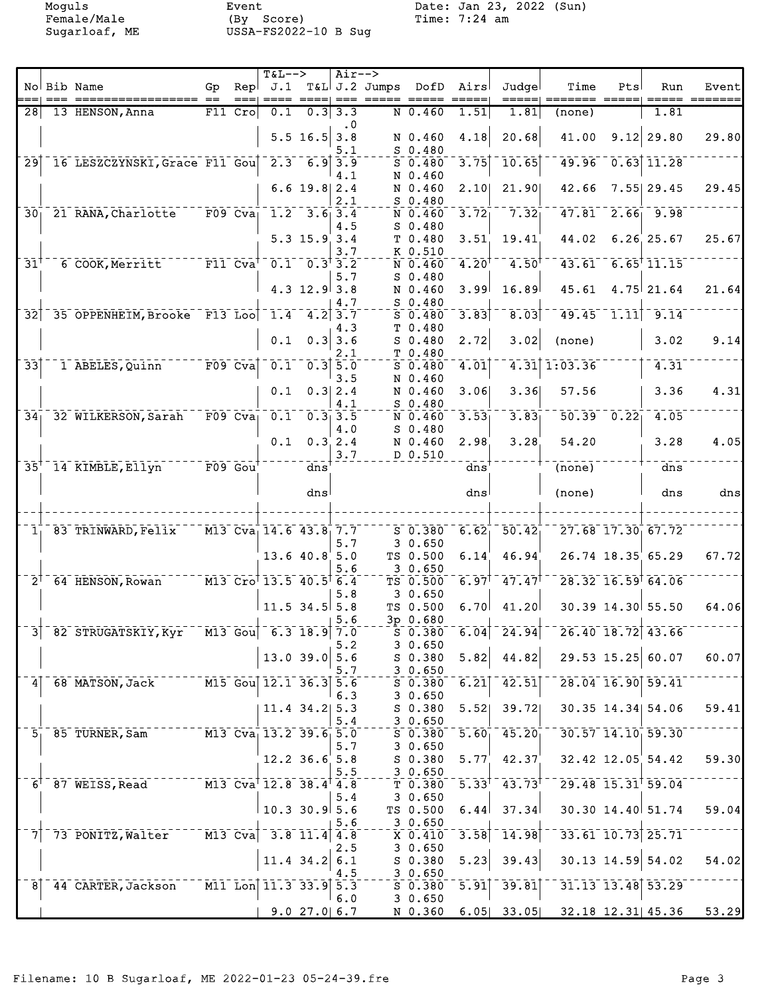|                            |                                                                       |                      |             | $T&L-->$                              |                              | $Air--$                |                    |                                     |                     |                                                |                                            |                                      |                           |        |
|----------------------------|-----------------------------------------------------------------------|----------------------|-------------|---------------------------------------|------------------------------|------------------------|--------------------|-------------------------------------|---------------------|------------------------------------------------|--------------------------------------------|--------------------------------------|---------------------------|--------|
|                            | No Bib Name                                                           | Gp                   | Repl        | J.1                                   |                              |                        | T&L J.2 Jumps DofD |                                     | Airs                | Judgel                                         | Time                                       | Pts                                  | Run                       | Event  |
|                            |                                                                       |                      |             |                                       |                              |                        |                    |                                     |                     | =====                                          |                                            |                                      |                           | ====== |
| 28                         | 13 HENSON, Anna                                                       |                      | $F11$ Cro   | 0.1                                   |                              | 0.333.3<br>$\cdot$ . 0 |                    | $N$ 0.460                           | 1.51                | 1.81                                           | (none)                                     |                                      | 1.81                      |        |
|                            |                                                                       |                      |             |                                       | $5.5$ 16.5 3.8               | 5.1                    |                    | N 0.460<br>$S$ 0.480                | 4.18                | 20.68                                          | 41.00                                      |                                      | $9.12$ 29.80              | 29.80  |
| 29                         | 16 LESZCZYNSKI, Grace F11 Gou                                         |                      |             |                                       | $\frac{1}{2.3}$ 6.9 3.9      |                        |                    | $S$ 0.480                           | 3.75                | 10.65                                          | 49.96                                      |                                      | $0.63$ 11.28              |        |
|                            |                                                                       |                      |             |                                       | $6.6$ 19.8 $2.4$             | 4.1<br>2.1             |                    | N 0.460<br>N 0.460<br>$S$ 0.480     | 2.10                | 21.90                                          | 42.66                                      |                                      | $7.55$ 29.45              | 29.45  |
| 30 <sub>1</sub>            | 21 RANA, Charlotte F09 Cva                                            |                      |             |                                       | $1.2 - 3.6 - 3.4$            |                        |                    | N 0.460                             | 3.72                | 7.32                                           |                                            |                                      | $47.81$ $2.66$ $9.98$     |        |
|                            |                                                                       |                      |             |                                       | $5.3$ 15.9 3.4               | 4.5                    |                    | $S$ 0.480<br>T 0.480                | 3.51                | 19.41                                          | 44.02                                      |                                      | $6.26$ 25.67              | 25.67  |
| $\bar{3}\bar{1}^{\dagger}$ | 6 COOK, Merritt <sup>------</sup> F11 Cva <sup>t</sup>                |                      |             |                                       | $0.1 - 0.3$ <sup>†</sup> 3.2 | 3.7                    |                    | K 0.510<br>N 0.460                  | $4.20$ <sup>t</sup> | $4.50^{\dagger}$                               | 43.61                                      |                                      | $6.65$ <sup>†</sup> 11.15 |        |
|                            |                                                                       |                      |             |                                       | $4.3$ 12.9 3.8               | 5.7                    |                    | $S$ 0.480<br>N 0.460                | 3.99                | 16.89                                          | 45.61                                      |                                      | $4.75$ 21.64              | 21.64  |
|                            |                                                                       |                      |             |                                       |                              | 4.7                    |                    | $S_0.480$                           |                     |                                                |                                            |                                      |                           |        |
| 32                         | 35 OPPENHEIM, Brooke F13 Loo                                          |                      |             | 1.4                                   |                              | $4.2$ 3.7<br>4.3       |                    | $S$ 0.480<br>T 0.480                | $\overline{3.83}$   | $\overline{8.03}$                              | 49.45                                      | 1.11                                 | 9.14                      |        |
|                            |                                                                       |                      |             | 0.1                                   |                              | $0.3$ 3.6<br>2.1       |                    | $S$ 0.480<br>T 0.480                | 2.72                | 3.02                                           | (none)                                     |                                      | 3.02                      | 9.14   |
| $\overline{33}$            | 1 ABELES, Quinn                                                       |                      | $F09$ $Cva$ | 0.1                                   |                              | $0.3$ $5.0$<br>3.5     |                    | $S$ 0.480<br>N 0.460                | 4.01                |                                                | 4.31 1:03.36                               |                                      | 4.31                      |        |
|                            |                                                                       |                      |             | 0.1                                   |                              | 0.3 2.4<br>4.1         |                    | N 0.460<br>$S$ 0.480                | 3.06                | 3.36                                           | 57.56                                      |                                      | 3.36                      | 4.31   |
| 34 <sub>1</sub>            | 32 WILKERSON, Sarah                                                   | $\overline{F09}$ Cva |             | 0.1                                   |                              | $0.3 - 3.5$            |                    | N 0.460                             | 3.53                | 3.83                                           |                                            | $\overline{50.39}$ $\overline{0.22}$ | 4.05                      |        |
|                            |                                                                       |                      |             | 0.1                                   |                              | 4.0<br>0.3, 2.4        |                    | $S$ 0.480<br>N 0.460                | 2.98                | 3.28                                           | 54.20                                      |                                      | 3.28                      | 4.05   |
|                            | $35† 14$ KIMBLE, Ellyn                                                |                      |             |                                       | $\overline{d}$ ns            | 3.7                    |                    | D 0.510                             | dns                 |                                                | (none)                                     |                                      | $\bar{d}$ ns              |        |
|                            |                                                                       |                      |             |                                       |                              |                        |                    |                                     |                     |                                                |                                            |                                      |                           |        |
|                            |                                                                       |                      |             |                                       | dns                          |                        |                    |                                     | dns                 |                                                | (none)                                     |                                      | dns                       | $dns$  |
|                            | 1 83 TRINWARD, Felix                                                  |                      |             | M13 Cva 14.6 43.8 7.7                 |                              |                        |                    | $S$ 0.380                           | 6.62                | $\overline{50.42}$                             |                                            |                                      | 27.68 17.30 67.72         |        |
|                            |                                                                       |                      |             |                                       | $13.6$ 40.8 5.0              | 5.7                    |                    | 30.650<br>TS 0.500                  | 6.14                | 46.94                                          |                                            |                                      | 26.74 18.35 65.29         | 67.72  |
|                            |                                                                       |                      |             |                                       |                              | 5.6                    |                    | 30.650                              |                     |                                                |                                            |                                      |                           |        |
| $2^{\top}$                 | 64 HENSON, Rowan                                                      |                      |             | $-M13$ Cro <sup>†</sup> 13.5 40.5 6.4 |                              | 5.8                    |                    | TS 0.500<br>30.650                  | $6.97$ <sup>t</sup> | $-47.47$                                       |                                            |                                      | $28.32$ $16.59$ $64.06$   |        |
|                            |                                                                       |                      |             |                                       | $11.5$ 34.5 5.8              | 5.6                    |                    | TS 0.500<br>3p 0.680                | 6.70                | 41.20                                          |                                            |                                      | 30.39 14.30 55.50         | 64.06  |
|                            | 3 82 STRUGATSKIY, Kyr <sup>-1</sup> M13 Gou <sup>1</sup> 6.3 18.9 7.0 |                      |             |                                       |                              |                        |                    |                                     |                     | $\frac{1}{5}$ 0.380 6.04 24.94                 | $-26.40$ 18.72 43.66                       |                                      |                           |        |
|                            |                                                                       |                      |             |                                       | $13.0$ 39.0 5.6              | 5.2<br>5.7             |                    | 30.650<br>S 0.380<br>30.650         | 5.82                | 44.82                                          |                                            |                                      | $29.53$ 15.25 60.07       | 60.07  |
| $\vert$                    | 68 MATSON, Jack                                                       |                      |             | $M15$ Gou 12.1 36.3 5.6               |                              |                        |                    | $\overline{\text{S}}$ 0.380 6.21    |                     | 42.51                                          |                                            |                                      | 28.04 16.90 59.41         |        |
|                            |                                                                       |                      |             |                                       | $11.4$ 34.2 5.3              | 6.3<br>5.4             |                    | 30.650<br>$S$ 0.380 5.52<br>3 0.650 |                     | 39.72                                          |                                            |                                      | 30.35 14.34 54.06         | 59.41  |
|                            | 5 85 TURNER, Sam M13 Cva 13.2 39.6 5.0                                |                      |             |                                       |                              |                        |                    |                                     |                     | $S$ 0.380 5.60 45.20                           |                                            |                                      | $30.57$ $14.10$ $59.30$   |        |
|                            |                                                                       |                      |             |                                       | $12.2$ 36.6 5.8              | 5.7                    |                    | 30.650                              |                     | $S$ 0.380 5.77 42.37                           |                                            |                                      | $32.42$ 12.05 54.42       | 59.30  |
|                            | 6 87 WEISS, Read M13 Cva 12.8 38.4 4.8                                |                      |             |                                       |                              | 5.5                    |                    | 30.650                              |                     | $T$ 0.380 5.33 <sup>t</sup> 43.73 <sup>t</sup> |                                            |                                      | $29.48$ 15.31 59.04       |        |
|                            |                                                                       |                      |             |                                       | $10.3$ 30.9 5.6              | 5.4                    |                    | 30.650<br>TS 0.500                  | 6.44                | 37.34                                          |                                            |                                      | 30.30 14.40 51.74         | 59.04  |
| 71                         | 73 PONITZ, Walter M13 Cva 3.8 11.4 4.8                                |                      |             |                                       |                              | 5.6                    |                    | 3 0.650<br>X 0.410                  |                     | $3.58$ <sup>-14.98</sup>                       |                                            |                                      | $33.61$ 10.73 25.71       |        |
|                            |                                                                       |                      |             |                                       | $11.4$ 34.2 6.1              | 2.5                    |                    | 3 0.650<br>S 0.380                  | 5.23                | 39.43                                          |                                            |                                      | 30.13 14.59 54.02         | 54.02  |
| 8 <sup>1</sup>             | 44 CARTER, Jackson M11 Lon 11.3 33.9 5.3                              |                      |             |                                       |                              | 4.5                    |                    | 30.650<br>$S = 0.380$               | $\overline{5.91}$   | 39.81                                          |                                            |                                      | 31.13 13.48 53.29         |        |
|                            |                                                                       |                      |             |                                       | $9.0$ 27.0 6.7               | 6.0                    |                    | 30.650                              |                     |                                                | N 0.360 6.05 33.05 32.18 12.31 45.36 53.29 |                                      |                           |        |
|                            |                                                                       |                      |             |                                       |                              |                        |                    |                                     |                     |                                                |                                            |                                      |                           |        |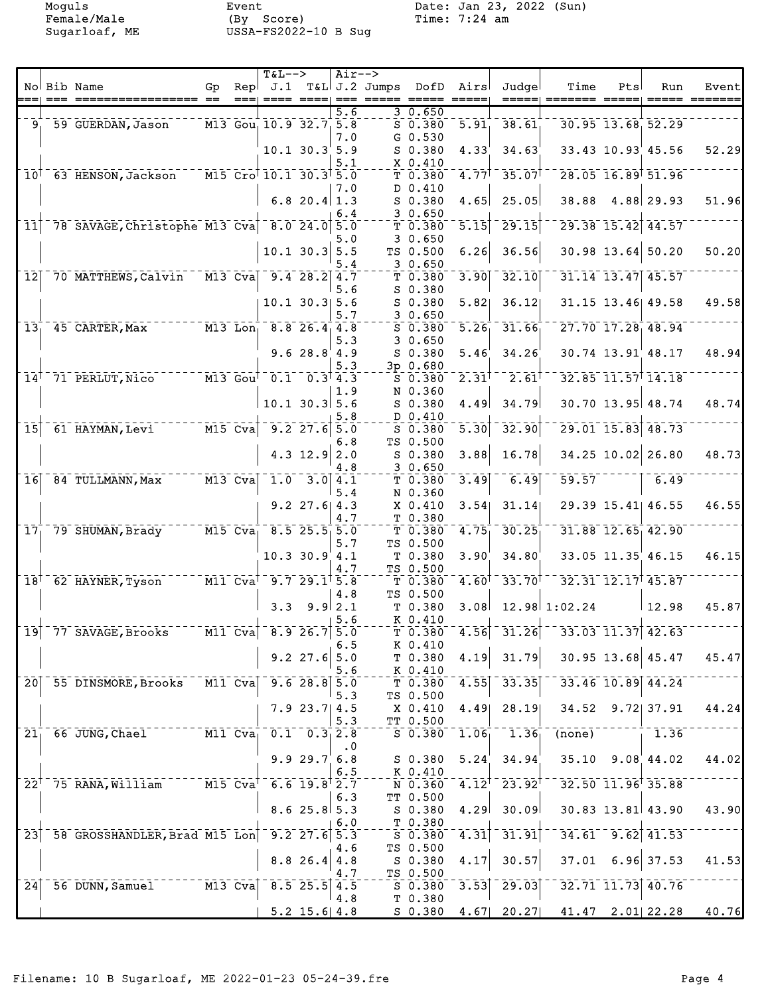|                              |        |                                                        |                                                           |      | $T&L-->$                                           |                                                 | Air-->    |                    |                     |                   |                                                |                                             |     |                                  |       |
|------------------------------|--------|--------------------------------------------------------|-----------------------------------------------------------|------|----------------------------------------------------|-------------------------------------------------|-----------|--------------------|---------------------|-------------------|------------------------------------------------|---------------------------------------------|-----|----------------------------------|-------|
|                              |        | No Bib Name                                            | Gp                                                        | Repl | J.1                                                |                                                 |           | T&L J.2 Jumps DofD |                     | Airs              | Judgel                                         | Time                                        | Pts | Run                              | Event |
|                              | $== =$ |                                                        |                                                           | ==== |                                                    |                                                 |           |                    |                     | $== == ==$        | =====                                          |                                             |     |                                  |       |
|                              |        | 9 59 GUERDAN, Jason                                    |                                                           |      | M13 Gou, 10.9 32.7 5.8                             |                                                 | 5.6       |                    | 30.650<br>$S$ 0.380 | $\overline{5.91}$ | 38.61                                          |                                             |     | 30.95 13.68 52.29                |       |
|                              |        |                                                        |                                                           |      |                                                    |                                                 |           |                    | $G_0.530$           |                   |                                                |                                             |     |                                  |       |
|                              |        |                                                        |                                                           |      |                                                    | $10.1$ $30.3$ 5.9                               | 7.0       |                    | $S$ 0.380           | 4.33 <sup>′</sup> | 34.63                                          |                                             |     | $33.43$ $10.93$ $45.56$          | 52.29 |
|                              |        |                                                        |                                                           |      |                                                    |                                                 | 5.1       |                    | X 0.410             |                   |                                                |                                             |     |                                  |       |
|                              |        | 10 <sup>1</sup> 63 HENSON, Jackson                     |                                                           |      | $-M15$ Cro <sup>†</sup> 10.1 30.3 <sup>†</sup> 5.0 |                                                 |           |                    | T 0.380             |                   | $4.77$ <sup>1</sup> 35.07                      |                                             |     | 28.05 16.89 51.96                |       |
|                              |        |                                                        |                                                           |      |                                                    |                                                 | 7.0       |                    | D 0.410             |                   |                                                |                                             |     |                                  |       |
|                              |        |                                                        |                                                           |      |                                                    | 6.8 20.4 $1.3$                                  |           |                    | $S$ 0.380           | 4.65              | 25.05                                          | 38.88                                       |     | 4.88 29.93                       | 51.96 |
|                              |        |                                                        |                                                           |      |                                                    |                                                 | 6.4       |                    | 30.650              |                   |                                                |                                             |     |                                  |       |
| $\overline{1}\overline{1}$   |        | 78 SAVAGE, Christophe M13 Cva 8.0 24.0 5.0             |                                                           |      |                                                    |                                                 |           |                    | T 0.380             | 5.15              | $\overline{29.15}$                             |                                             |     | 29.38 15.42 44.57                |       |
|                              |        |                                                        |                                                           |      |                                                    |                                                 | 5.0       |                    | 30.650              |                   |                                                |                                             |     |                                  |       |
|                              |        |                                                        |                                                           |      |                                                    | $10.1$ 30.3 5.5                                 |           |                    | TS 0.500            | 6.26              | 36.56                                          |                                             |     | $30.98$ 13.64 50.20              | 50.20 |
|                              |        |                                                        |                                                           |      |                                                    |                                                 | 5.4       |                    | 30.650              |                   |                                                |                                             |     |                                  |       |
| 12                           |        | 70 MATTHEWS, Calvin                                    |                                                           |      | $\sqrt{M13}$ Cva $\sqrt{9.4}$ 28.2 4.7             |                                                 |           |                    | T 0.380             | $\overline{3.90}$ | 32.10                                          |                                             |     | 31.14 13.47 45.57                |       |
|                              |        |                                                        |                                                           |      |                                                    |                                                 | 5.6       |                    | $S$ 0.380           |                   |                                                |                                             |     |                                  |       |
|                              |        |                                                        |                                                           |      |                                                    | $10.1$ 30.3 5.6                                 |           |                    | $S$ 0.380           | 5.82              | 36.12                                          |                                             |     | 31.15 13.46 49.58                | 49.58 |
|                              |        |                                                        |                                                           |      |                                                    |                                                 | 5.7       |                    | 30.650              |                   |                                                |                                             |     |                                  |       |
| 13 <sub>1</sub>              |        | 45 CARTER, Max                                         |                                                           |      | M13 Lon, 8.8 26.4 4.8                              |                                                 |           |                    | $S$ 0.380           | $\bar{5.26}$      | 31.66                                          |                                             |     | $27.70$ $17.28$ $48.94$          |       |
|                              |        |                                                        |                                                           |      |                                                    |                                                 | 5.3       |                    | 30.650              |                   |                                                |                                             |     |                                  |       |
|                              |        |                                                        |                                                           |      |                                                    | 9.628.84.9                                      |           |                    | $S$ 0.380           | 5.46              | 34.26                                          |                                             |     | 30.74 13.91 48.17                | 48.94 |
|                              |        |                                                        |                                                           |      |                                                    |                                                 | 5.3       |                    | $3p$ 0.680          |                   |                                                |                                             |     |                                  |       |
|                              |        | 14 <sup>1</sup> 71 PERLUT, Nico M13 Gou <sup>T</sup>   |                                                           |      | $0.1 - 0.3$ 4.3                                    |                                                 |           |                    | $S$ 0.380           | $2.31^{\dagger}$  | $2.61$ <sup>T</sup>                            |                                             |     | 32.85 11.57 14.18                |       |
|                              |        |                                                        |                                                           |      |                                                    |                                                 | 1.9       |                    | N 0.360             |                   |                                                |                                             |     |                                  |       |
|                              |        |                                                        |                                                           |      |                                                    | $10.1$ 30.3 5.6                                 |           |                    | $S$ 0.380           | 4.49              | 34.79                                          |                                             |     | 30.70 13.95 48.74                | 48.74 |
|                              |        |                                                        |                                                           |      |                                                    |                                                 | 5.8       |                    | D 0.410             |                   |                                                |                                             |     |                                  |       |
| $\overline{15}$              |        | $-61$ HAYMAN, Levi <sup>-------</sup> M15 Cva          |                                                           |      | $9.2$ $27.6$ $5.0$                                 |                                                 |           |                    | $S_0.380$           | $\overline{5.30}$ | 32.90                                          |                                             |     | $29.01$ <sup>-</sup> 15.83 48.73 |       |
|                              |        |                                                        |                                                           |      |                                                    |                                                 | 6.8       |                    | TS 0.500            |                   |                                                |                                             |     |                                  |       |
|                              |        |                                                        |                                                           |      |                                                    | $4.3$ 12.9                                      | 2.0       |                    | S 0.380             | 3.88              | 16.78                                          |                                             |     | 34.25 10.02 26.80                | 48.73 |
|                              |        |                                                        |                                                           |      |                                                    |                                                 | 4.8       |                    | 30.650              |                   |                                                |                                             |     |                                  |       |
| 16                           |        | 84 TULLMANN, Max                                       | $\overline{M13}$ $\overline{C} \overline{v} \overline{a}$ |      |                                                    | $\begin{bmatrix} 1.0 & 3.0 & 4.1 \end{bmatrix}$ |           |                    | T 0.380             | 3.49              | 6.49                                           | 59.57                                       |     | 6.49                             |       |
|                              |        |                                                        |                                                           |      |                                                    |                                                 | 5.4       |                    | N 0.360             |                   |                                                |                                             |     |                                  |       |
|                              |        |                                                        |                                                           |      |                                                    | $9.2$ 27.6 4.3                                  |           |                    | $X$ 0.410           | 3.54              | 31.14                                          |                                             |     | 29.39 15.41 46.55                | 46.55 |
|                              |        |                                                        |                                                           |      |                                                    |                                                 | 4.7       |                    | T 0.380             |                   |                                                |                                             |     |                                  |       |
|                              |        | 17 79 SHUMAN, Brady M15 Cva 8.5 25.5 5.0               |                                                           |      |                                                    |                                                 |           |                    | T 0.380             | 4.75              | 30.25                                          |                                             |     | $31.88$ $12.65$ $42.90$          |       |
|                              |        |                                                        |                                                           |      |                                                    |                                                 | 5.7       |                    | TS 0.500            |                   |                                                |                                             |     |                                  |       |
|                              |        |                                                        |                                                           |      |                                                    | $10.3$ $30.9$ 4.1                               |           |                    | T 0.380             | 3.90              | 34.80                                          |                                             |     | 33.05 11.35 46.15                | 46.15 |
| $\bar{1}8^{\dagger}$         |        | $-62$ HAYNER, Tyson $-11$ $\text{Cva}^{\dagger}$       |                                                           |      |                                                    | $-9.729.1$ <sup>t</sup> 5.8                     | 4.7       |                    | TS 0.500<br>T 0.380 | $4.60^{\dagger}$  | $33.70^{+}$                                    |                                             |     | $32.31$ $12.17$ $45.87$          |       |
|                              |        |                                                        |                                                           |      |                                                    |                                                 | 4.8       |                    | TS 0.500            |                   |                                                |                                             |     |                                  |       |
|                              |        |                                                        |                                                           |      |                                                    | $3.3$ $9.9$ $2.1$                               |           |                    | T 0.380             | 3.08              |                                                | 12.98 1:02.24                               |     | $\vert$ 12.98                    | 45.87 |
|                              |        |                                                        |                                                           |      |                                                    |                                                 | 5.6       |                    | K 0.410             |                   |                                                |                                             |     |                                  |       |
|                              |        | $19$ <sup>-77</sup> SAVAGE, Brooks <sup>-1</sup>       |                                                           |      | $-$ M11 Cva $^+$ 8.9 26.7 5.0                      |                                                 |           |                    |                     |                   | $T$ 0.380 4.56 31.26                           | $-33.03$ 11.37 42.63                        |     |                                  |       |
|                              |        |                                                        |                                                           |      |                                                    |                                                 | 6.5       |                    | K 0.410             |                   |                                                |                                             |     |                                  |       |
|                              |        |                                                        |                                                           |      |                                                    | $9.2$ 27.6 5.0                                  |           |                    | T <sub>0.380</sub>  |                   | $4.19$ 31.79                                   |                                             |     | $30.95$ 13.68 45.47              | 45.47 |
|                              |        |                                                        |                                                           |      |                                                    |                                                 | 5.6       |                    | K 0.410             |                   |                                                |                                             |     |                                  |       |
|                              |        | 20 55 DINSMORE, Brooks                                 | $^{-}$ M11 $^{-}$ Cva $\mid$                              |      |                                                    | $9.6$ 28.8 5.0                                  |           |                    | T 0.380             |                   | $4.55$ <sup>-33.35</sup>                       |                                             |     | 33.46 10.89 44.24                |       |
|                              |        |                                                        |                                                           |      |                                                    |                                                 | 5.3       |                    | TS 0.500            |                   |                                                |                                             |     |                                  |       |
|                              |        |                                                        |                                                           |      |                                                    | $7.9$ 23.7 4.5                                  |           |                    | X 0.410             | 4.49              | 28.19                                          |                                             |     | 34.52 9.72 37.91                 | 44.24 |
|                              |        |                                                        |                                                           |      |                                                    |                                                 | 5.3       |                    | TT 0.500            |                   |                                                |                                             |     |                                  |       |
|                              |        | 21 66 JUNG, Chael M11 Cva 0.1 0.3 2.8                  |                                                           |      |                                                    |                                                 |           |                    | $S_{0.380}$         | 1.06              | $-1.36$                                        | $\overline{\text{(none)}}$                  |     | 1.36                             |       |
|                              |        |                                                        |                                                           |      |                                                    |                                                 | $\cdot$ 0 |                    |                     |                   |                                                |                                             |     |                                  |       |
|                              |        |                                                        |                                                           |      |                                                    | 9.929.76.8                                      |           |                    | S 0.380             | 5.24              | 34.94                                          |                                             |     | $35.10$ $9.08$ $44.02$           | 44.02 |
|                              |        |                                                        |                                                           |      |                                                    |                                                 | 6.5       |                    | $K_0$ . 410         |                   |                                                |                                             |     |                                  |       |
|                              |        | $22^{\dagger}$ 75 RANA, William $M15$ Cva <sup>t</sup> |                                                           |      | $6.6$ 19.8 $2.7$                                   |                                                 |           |                    |                     |                   | $N$ 0.360 4.12 <sup>†</sup> 23.92 <sup>†</sup> |                                             |     | $32.50$ $11.96$ $35.88$          |       |
|                              |        |                                                        |                                                           |      |                                                    |                                                 | 6.3       |                    | TT 0.500            |                   |                                                |                                             |     |                                  |       |
|                              |        |                                                        |                                                           |      |                                                    | 8.625.85.3                                      |           |                    | S 0.380             |                   | $4.29$ 30.09                                   |                                             |     | $30.83$ 13.81 43.90              | 43.90 |
|                              |        |                                                        |                                                           |      |                                                    |                                                 | 6.0       |                    | T 0.380             |                   |                                                |                                             |     |                                  |       |
|                              |        | 23 58 GROSSHANDLER, Brad M15 Lon 9.2 27.6 5.3          |                                                           |      |                                                    |                                                 |           |                    | $-5.380$            |                   | $4.31$ <sup>-31.91</sup>                       |                                             |     | $34.61 - 9.62$ 41.53             |       |
|                              |        |                                                        |                                                           |      |                                                    |                                                 | 4.6       |                    | TS 0.500            |                   | 30.57                                          |                                             |     | $37.01$ 6.96 37.53               |       |
|                              |        |                                                        |                                                           |      |                                                    | $8.8$ 26.4 4.8                                  | 4.7       |                    | S 0.380             | 4.17              |                                                |                                             |     |                                  | 41.53 |
| $\overline{24}$ <sup>-</sup> |        | 56 DUNN, Samuel M13 Cva                                |                                                           |      |                                                    | $8.5$ 25.5 4.5                                  |           |                    | TS 0.500<br>S 0.380 |                   | $3.53$ <sup>-29.03</sup>                       |                                             |     | 32.71 11.73 40.76                |       |
|                              |        |                                                        |                                                           |      |                                                    |                                                 | 4.8       |                    | T 0.380             |                   |                                                |                                             |     |                                  |       |
|                              |        |                                                        |                                                           |      |                                                    |                                                 |           |                    |                     |                   |                                                |                                             |     |                                  |       |
|                              |        |                                                        |                                                           |      |                                                    | $5.2$ 15.6 4.8                                  |           |                    |                     |                   |                                                | $S$ 0.380 4.67 20.27 41.47 2.01 22.28 40.76 |     |                                  |       |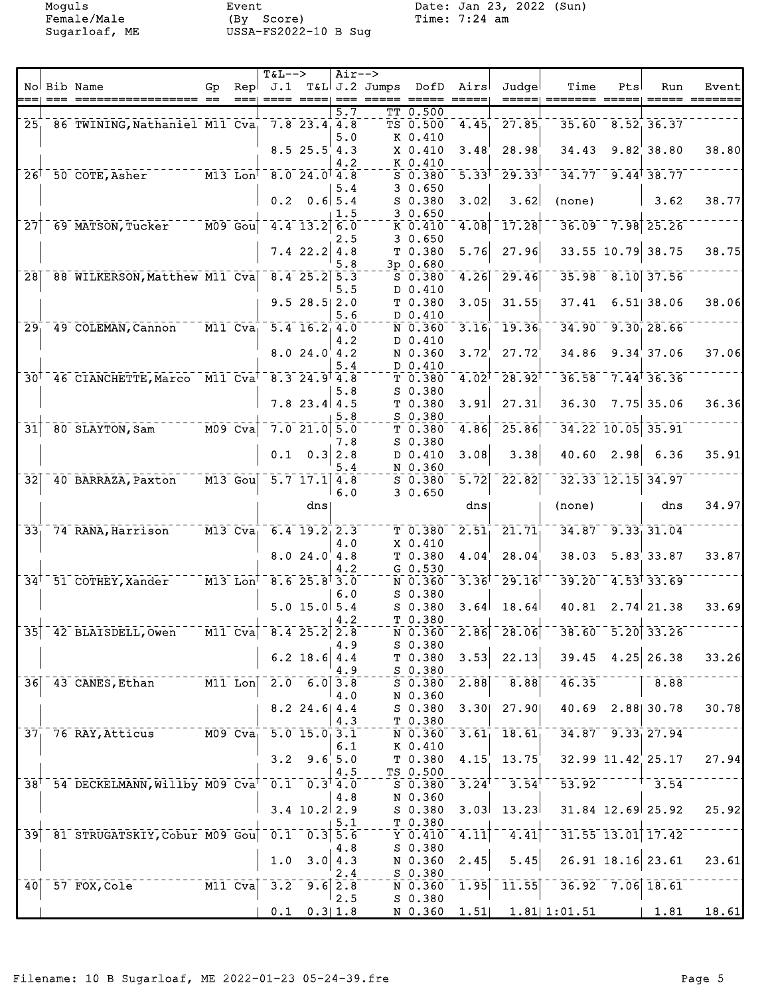|                              |        |                                                                                     |                                                          |      | $T&L-->$             |                       | Air-->           |               |                      |                            |                                                 |                                      |      |                                   |       |
|------------------------------|--------|-------------------------------------------------------------------------------------|----------------------------------------------------------|------|----------------------|-----------------------|------------------|---------------|----------------------|----------------------------|-------------------------------------------------|--------------------------------------|------|-----------------------------------|-------|
|                              |        | No Bib Name                                                                         | Gp                                                       | Repl | J.1                  |                       |                  | T&L J.2 Jumps | DofD                 | Airs                       | Judgel                                          | Time                                 | Pts  | Run                               | Event |
|                              | $== =$ |                                                                                     |                                                          | ==== |                      |                       |                  |               |                      | $=====$                    | =====                                           |                                      |      |                                   |       |
|                              |        |                                                                                     |                                                          |      |                      |                       | $\overline{5.7}$ |               | TT 0.500             |                            |                                                 |                                      |      |                                   |       |
|                              |        | 25 86 TWINING, Nathaniel M11 Cva                                                    |                                                          |      |                      | $7.8$ 23.4 4.8        |                  |               | TS 0.500             | 4.45                       | 27.85                                           |                                      |      | $35.60$ $8.52$ $36.37$            |       |
|                              |        |                                                                                     |                                                          |      |                      |                       | 5.0              |               | K 0.410              |                            |                                                 |                                      |      |                                   |       |
|                              |        |                                                                                     |                                                          |      |                      | $8.5$ 25.5 4.3        |                  |               | X 0.410              | 3.48                       | 28.98                                           | 34.43                                |      | $9.82$ 38.80                      | 38.80 |
|                              |        |                                                                                     |                                                          |      |                      |                       | 4.2              |               | K 0.410              |                            |                                                 |                                      |      |                                   |       |
| $26$ <sup>T</sup>            |        | 50 COTE, Asher                                                                      | $-$ - $ \overline{M13}$ $\overline{L}$ on $\overline{L}$ |      |                      | $-8.0$ 24.0 4.8       |                  |               | $S$ 0.380            | $\bar{5}$ . $33^{\dagger}$ | $\sqrt{29.33}$                                  |                                      |      | $34.77$ 9.44 38.77                |       |
|                              |        |                                                                                     |                                                          |      |                      |                       | 5.4              |               | 30.650               |                            |                                                 |                                      |      |                                   |       |
|                              |        |                                                                                     |                                                          |      | 0.2                  | $0.6$ 5.4             |                  |               | $S$ 0.380            | 3.02                       | 3.62                                            | (none)                               |      | 3.62                              | 38.77 |
|                              |        |                                                                                     |                                                          |      |                      |                       | 1.5              |               | 30.650               |                            |                                                 |                                      |      |                                   |       |
| $\overline{27}$              |        | 69 MATSON, Tucker M09 Goul                                                          |                                                          |      |                      | $-4.4$ 13.2 6.0       |                  |               | K 0.410              | 4.08                       | 17.28                                           |                                      |      | 36.09 7.98 25.26                  |       |
|                              |        |                                                                                     |                                                          |      |                      |                       |                  |               | 30.650               |                            |                                                 |                                      |      |                                   |       |
|                              |        |                                                                                     |                                                          |      |                      |                       | 2.5              |               |                      |                            |                                                 |                                      |      |                                   |       |
|                              |        |                                                                                     |                                                          |      |                      | $7.4$ 22.2            | 4.8              |               | T 0.380              | 5.76                       | 27.96                                           |                                      |      | 33.55 10.79 38.75                 | 38.75 |
|                              |        |                                                                                     |                                                          |      |                      |                       | 5.8              |               | 3p 0.680             |                            |                                                 |                                      |      |                                   |       |
| 28                           |        | 88 WILKERSON, Matthew M11 Cva                                                       |                                                          |      |                      | $8.4$ 25.2 5.3        |                  |               | $S$ $0.380$          | 4.26                       | 29.46                                           |                                      |      | 35.98 8.10 37.56                  |       |
|                              |        |                                                                                     |                                                          |      |                      |                       | 5.5              |               | D 0.410              |                            |                                                 |                                      |      |                                   |       |
|                              |        |                                                                                     |                                                          |      |                      | $9.5$ 28.5 2.0        |                  |               | T 0.380              | 3.05                       | 31.55                                           | 37.41                                |      | $6.51$ 38.06                      | 38.06 |
|                              |        |                                                                                     |                                                          |      |                      |                       | 5.6              |               | D 0.410              |                            |                                                 |                                      |      |                                   |       |
| $29_1$                       |        | 49 COLEMAN, Cannon M11 Cva                                                          |                                                          |      |                      | $5.4$ 16.2 4.0        |                  |               | N 0.360              | 3.16                       | 19.36                                           |                                      |      | $34.90 - 9.30$ <sub>1</sub> 28.66 |       |
|                              |        |                                                                                     |                                                          |      |                      |                       | 4.2              |               | D 0.410              |                            |                                                 |                                      |      |                                   |       |
|                              |        |                                                                                     |                                                          |      |                      | 8.024.04.2            |                  |               | N 0.360              | 3.72                       | 27.72                                           | 34.86                                |      | $9.34 \, 37.06$                   | 37.06 |
|                              |        |                                                                                     |                                                          |      |                      |                       | 5.4              |               | D 0.410              |                            |                                                 |                                      |      |                                   |       |
|                              |        | 30 <sup>1</sup> 46 CIANCHETTE, Marco M11 Cva <sup>1</sup>                           |                                                          |      |                      | $8.3$ 24.9 4.8        |                  |               | $T$ 0.380            | $4.02$ <sup>T</sup>        | $^-$ 28.92 $^\dagger$                           | 36.58                                |      | $7.44$ <sup>1</sup> 36.36         |       |
|                              |        |                                                                                     |                                                          |      |                      |                       | 5.8              |               | $S$ 0.380            |                            |                                                 |                                      |      |                                   |       |
|                              |        |                                                                                     |                                                          |      |                      | $7.8$ 23.4 4.5        |                  |               | T 0.380              | 3.91                       | 27.31                                           | 36.30                                |      | $7.75$ 35.06                      | 36.36 |
|                              |        |                                                                                     |                                                          |      |                      |                       | 5.8              |               | S 0.380              |                            |                                                 |                                      |      |                                   |       |
| $\overline{31}$              |        | 80 SLAYTON, Sam                                                                     | $-$ M09 Cva                                              |      |                      | $7.0$ 21.0 5.0        |                  |               |                      | 4.86                       | 25.86                                           |                                      |      | 34.22 10.05 35.91                 |       |
|                              |        |                                                                                     |                                                          |      |                      |                       |                  |               | T 0.380              |                            |                                                 |                                      |      |                                   |       |
|                              |        |                                                                                     |                                                          |      |                      |                       | 7.8              |               | $S$ 0.380            |                            |                                                 |                                      |      |                                   |       |
|                              |        |                                                                                     |                                                          |      |                      | $0.1 \quad 0.3   2.8$ |                  |               | D 0.410              | 3.08                       | 3.38                                            | 40.60                                | 2.98 | 6.36                              | 35.91 |
|                              |        |                                                                                     |                                                          |      |                      |                       | 5.4              |               | N 0.360              |                            |                                                 |                                      |      |                                   |       |
| $\overline{32}$              |        | 40 BARRAZA, Paxton                                                                  |                                                          |      | M13 Gou 5.7 17.1 4.8 |                       |                  |               | $S$ 0.380            | $\overline{5.72}$          | 22.82                                           |                                      |      | 32.33 12.15 34.97                 |       |
|                              |        |                                                                                     |                                                          |      |                      |                       | 6.0              |               | 30.650               |                            |                                                 |                                      |      |                                   |       |
|                              |        |                                                                                     |                                                          |      |                      | dns                   |                  |               |                      | dns                        |                                                 | (none)                               |      | dns                               | 34.97 |
|                              |        |                                                                                     |                                                          |      |                      |                       |                  |               |                      |                            |                                                 |                                      |      |                                   |       |
|                              |        |                                                                                     |                                                          |      |                      |                       |                  |               |                      |                            |                                                 |                                      |      |                                   |       |
| $33_1$                       |        | 74 RANA, Harrison                                                                   |                                                          |      | M13 Cva 6.4 19.2 2.3 |                       |                  |               | T 0.380              | 2.51                       | 21.71                                           |                                      |      | $34.87 - 9.33$ 31.04              |       |
|                              |        |                                                                                     |                                                          |      |                      |                       |                  |               |                      |                            |                                                 |                                      |      |                                   |       |
|                              |        |                                                                                     |                                                          |      |                      |                       | 4.0              |               | X 0.410              |                            | 28.04                                           | 38.03                                |      |                                   |       |
|                              |        |                                                                                     |                                                          |      |                      | 8.024.04.8            | 4.2              |               | T 0.380              | 4.04                       |                                                 |                                      |      | 5.83 33.87                        | 33.87 |
|                              |        |                                                                                     |                                                          |      |                      |                       |                  |               | $G$ 0.530            |                            |                                                 |                                      |      |                                   |       |
| $\overline{34}$ <sup>T</sup> |        | 51 COTHEY, Xander                                                                   | $^{-1}$ M13 Lon $^{\dagger}$                             |      |                      | $-8.6 - 25.8$ $-3.0$  |                  |               | N 0.360              | $3.36$ <sup>T</sup>        | $\sqrt{29.16}$                                  | 39.20                                |      | $4.53$ <sup>†</sup> 33.69         |       |
|                              |        |                                                                                     |                                                          |      |                      |                       | 6.0              |               | $S$ 0.380            |                            |                                                 |                                      |      |                                   |       |
|                              |        |                                                                                     |                                                          |      |                      | $5.0$ 15.0 $5.4$      |                  |               | $S$ 0.380            | 3.64                       | 18.64                                           | 40.81                                |      | $2.74$ 21.38                      | 33.69 |
|                              |        |                                                                                     |                                                          |      |                      |                       | 4.2              |               | T 0.380              |                            |                                                 |                                      |      |                                   |       |
|                              |        | $\frac{1}{35}$ 42 BLAISDELL, Owen M11 Cva 8.4 25.2 2.8                              |                                                          |      |                      |                       |                  |               |                      |                            | $N$ 0.360 $2.86$ $2.86$                         |                                      |      | $38.60 - 5.20$ 33.26              |       |
|                              |        |                                                                                     |                                                          |      |                      |                       | 4.9              |               | S 0.380              |                            |                                                 |                                      |      |                                   |       |
|                              |        |                                                                                     |                                                          |      |                      | 6.2 18.6 $4.4$        |                  |               | $T$ 0.380            | 3.53                       | 22.13                                           | 39.45                                |      | $4.25$ 26.38                      | 33.26 |
|                              |        |                                                                                     |                                                          |      |                      |                       | 4.9              |               | $S$ 0.380            |                            |                                                 |                                      |      |                                   |       |
|                              |        | 36 43 CANES, Ethan<br>$--- \overline{M11}$ Lon                                      |                                                          |      |                      | $2.0 \t6.0   3.8$     |                  |               | S 0.380              | $\overline{2.88}$          | 8.88                                            | 46.35                                |      | 8.88                              |       |
|                              |        |                                                                                     |                                                          |      |                      |                       | 4.0              |               | N 0.360              |                            |                                                 |                                      |      |                                   |       |
|                              |        |                                                                                     |                                                          |      |                      | $8.2$ 24.6 4.4        |                  |               | $S$ 0.380 3.30       |                            | 27.90                                           | 40.69 2.88 30.78                     |      |                                   | 30.78 |
|                              |        |                                                                                     |                                                          |      |                      |                       | 4.3              |               | T 0.380              |                            |                                                 |                                      |      |                                   |       |
| 37 <sub>1</sub>              |        | 76 RAY, Atticus M09 Cva 5.0 15.0 3.1                                                |                                                          |      |                      |                       |                  |               | N 0.360              | 3.61                       | 18.61                                           | $34.87 - 9.33$ <sub>27.94</sub>      |      |                                   |       |
|                              |        |                                                                                     |                                                          |      |                      |                       | 6.1              |               | K 0.410              |                            |                                                 |                                      |      |                                   |       |
|                              |        |                                                                                     |                                                          |      |                      | $3.2$ $9.6$ 5.0       |                  |               | T 0.380              | 4.15                       | 13.75                                           |                                      |      | $32.99$ $11.42$ $25.17$           | 27.94 |
|                              |        |                                                                                     |                                                          |      |                      |                       | 4.5              |               |                      |                            |                                                 |                                      |      |                                   |       |
|                              |        | 38 <sup>+</sup> 54 DECKELMANN, Willby M09 Cva <sup>+ 0.1</sup> 0.3 <sup>+</sup> 4.0 |                                                          |      |                      |                       |                  |               | $TS_0.500$           |                            |                                                 |                                      |      | $53.92$ <sup>------+-</sup> 3.54  |       |
|                              |        |                                                                                     |                                                          |      |                      |                       | 4.8              |               |                      |                            | $50.380 - 3.24$ <sup>+-3</sup> .54 <sup>+</sup> |                                      |      |                                   |       |
|                              |        |                                                                                     |                                                          |      |                      |                       |                  |               | N 0.360              |                            |                                                 |                                      |      |                                   |       |
|                              |        |                                                                                     |                                                          |      |                      | $3.4$ 10.2 2.9        |                  |               | S 0.380              | 3.03                       | 13.23                                           |                                      |      | 31.84 12.69 25.92                 | 25.92 |
|                              |        |                                                                                     |                                                          |      |                      |                       | 5.1              |               | T 0.380              |                            |                                                 |                                      |      |                                   |       |
|                              |        | 39 81 STRUGATSKIY, Cobur M09 Gou 0.1 0.3 5.6                                        |                                                          |      |                      |                       |                  |               | $-\frac{1}{Y}$ 0.410 | $\overline{4.11}$          | 4.41                                            |                                      |      | $31.55$ $13.01$ $17.42$           |       |
|                              |        |                                                                                     |                                                          |      |                      |                       | 4.8              |               | $S$ 0.380            |                            |                                                 |                                      |      |                                   |       |
|                              |        |                                                                                     |                                                          |      | 1.0                  |                       | 3.0   4.3        |               | N 0.360              | 2.45                       | 5.45                                            |                                      |      | $26.91$ 18.16 23.61               | 23.61 |
|                              |        |                                                                                     |                                                          |      |                      |                       | 2.4              |               | $S$ 0.380            |                            |                                                 |                                      |      |                                   |       |
| 40                           |        | $--- \overline{M11}$ $Cva$<br>57 FOX, Cole                                          |                                                          |      | 3.2                  |                       | $9.6$ 2.8        |               | N 0.360              | 1.95                       | $-11.55$                                        | $-36.92 - 7.06$ 18.61                |      |                                   |       |
|                              |        |                                                                                     |                                                          |      |                      | $0.1$ $0.3$ 1.8       | 2.5              |               | $S$ 0.380            |                            |                                                 | N 0.360 1.51 1.81 1:01.51 1.81 18.61 |      |                                   |       |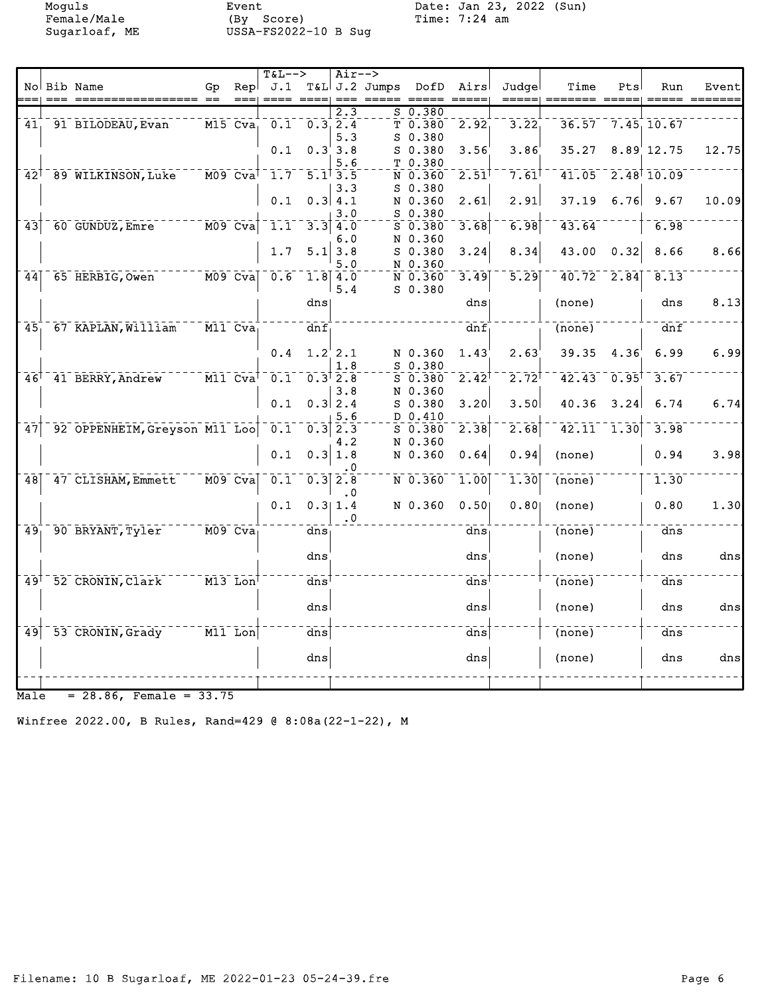Moguls Event Date: Jan 23, 2022 (Sun)

|                 |                                    |    |                                                           | $T&L-->$                                        |                   | $Air--$                   |                 |                        |                   |                     |                            |       |                           |       |
|-----------------|------------------------------------|----|-----------------------------------------------------------|-------------------------------------------------|-------------------|---------------------------|-----------------|------------------------|-------------------|---------------------|----------------------------|-------|---------------------------|-------|
|                 | No Bib Name                        | Gp | Repl                                                      | J.1                                             |                   |                           | $T&L$ J.2 Jumps | DofD                   | Airs              | Judgel              | Time                       | Pts   | Run                       | Event |
|                 |                                    |    |                                                           |                                                 |                   | $\overline{2.3}$          |                 | $S_0.380$              |                   |                     |                            |       |                           |       |
|                 | 41, 91 BILODEAU, Evan              |    |                                                           | $M15$ Cva <sub>1</sub> 0.1 0.3 2.4              |                   | 5.3                       |                 | T 0.380<br>S 0.380     | 2.92              | 3.22                |                            |       | $36.57 - 7.45$ 10.67      |       |
|                 |                                    |    |                                                           | 0.1                                             |                   | 0.3'3.8                   |                 | $S$ 0.380              | 3.56              | 3.86                | 35.27                      |       | $8.89$ 12.75              | 12.75 |
|                 | 42 <sup>1</sup> 89 WILKINSON, Luke |    | $M09$ $Cva$ <sup>1</sup>                                  | $-1.7$                                          |                   | 5.6<br>$5.1^{\dagger}3.5$ |                 | T 0.380<br>N 0.360     | 2.51              | $7.61$ <sup>T</sup> | 41.05                      |       | $2.48$ <sup>1</sup> 10.09 |       |
|                 |                                    |    |                                                           | 0.1                                             |                   | 3.3<br>0.3   4.1          |                 | $S$ 0.380<br>N 0.360   | 2.61              | 2.91                | 37.19                      |       | $6.76$ 9.67               | 10.09 |
|                 |                                    |    |                                                           |                                                 |                   | 3.0                       |                 | S 0.380                |                   |                     |                            |       |                           |       |
| 43              | 60 GUNDUZ, Emre                    |    | $\overline{M09}$ $\overline{C} \overline{v} \overline{a}$ | 1.1                                             | 3.3               | 4.0<br>6.0                | N               | $S$ 0.380<br>0.360     | 3.68              | 6.98                | 43.64                      |       | 6.98                      |       |
|                 |                                    |    |                                                           | 1.7                                             | 5.1               | 3.8<br>5.0                |                 | $S_0.380$<br>N 0.360   | 3.24              | 8.34                | 43.00                      | 0.32  | 8.66                      | 8.66  |
| 44              | 65 HERBIG, Owen                    |    | $M09$ Cva                                                 | $\begin{bmatrix} 0.6 & 1.8 & 4.0 \end{bmatrix}$ |                   | 5.4                       |                 | N 0.360<br>$S$ 0.380   | 3.49              | 5.29                | $40.72 - 2.84$             |       | 8.13                      |       |
|                 |                                    |    |                                                           |                                                 | dns               |                           |                 |                        | dns               |                     | (none)                     |       | dns                       | 8.13  |
| 45 <sub>1</sub> | 67 KAPLAN, William                 |    | $\overline{M11}$ $\overline{C} \overline{v} \overline{a}$ |                                                 | $\bar{d}n\bar{f}$ |                           |                 |                        | $\bar{d}n\bar{f}$ |                     | $\overline{(none)}$        |       | dnf                       |       |
|                 |                                    |    |                                                           | 0.4                                             |                   | $1.2'$ 2.1<br>1.8         |                 | N 0.360<br>S 0.380     | 1.43              | 2.63                | 39.35                      | 4.36' | 6.99                      | 6.99  |
|                 | 46 <sup>+</sup> 41 BERRY, Andrew   |    | $\overline{M11}$ $\overline{C} \overline{v} \overline{a}$ | $0.1 - 0.3$ <sup>t</sup> 2.8                    |                   | 3.8                       |                 | 50.380<br>N 0.360      | $2.42^{\dagger}$  | $2.72^{\dagger}$    | $42.43 - 0.95$             |       | 3.67                      |       |
|                 |                                    |    |                                                           | 0.1                                             |                   | $0.3$ 2.4<br>5.6          |                 | S 0.380<br>D 0.410     | 3.20              | 3.50                | 40.36                      | 3.24  | 6.74                      | 6.74  |
|                 | 47 92 OPPENHEIM, Greyson M11 Loo   |    |                                                           | $\bar{0.1}^{-}$                                 |                   | $0.3$ $2.3$<br>4.2        |                 | $5 - 0.380$<br>N 0.360 | 2.38              | 2.68                | $42.11 - 1.30$             |       | 3.98                      |       |
|                 |                                    |    |                                                           | 0.1                                             |                   | 0.3 1.8<br>. 0            |                 | N 0.360                | 0.64              | 0.94                | (none)                     |       | 0.94                      | 3.98  |
| 48              | 47 CLISHAM, Emmett                 |    | $\overline{M09}$ $\overline{Cva}$                         | 0.1                                             |                   | $0.3$ $2.8$<br>$\cdot$ 0  |                 | $N$ 0.360              | 1.00              | 1.30                | $\overline{(none)}$        |       | 1.30                      |       |
|                 |                                    |    |                                                           | 0.1                                             |                   | 0.311.4<br>. 0            |                 | N 0.360                | 0.501             | 0.801               | (none)                     |       | 0.80                      | 1.30  |
| 49              | 90 BRYANT, Tyler                   |    | $M09$ $Cva$                                               |                                                 | dns               |                           |                 |                        | dns               |                     | $\overline{(none)}$        |       | $\frac{1}{\text{dns}}$    |       |
|                 |                                    |    |                                                           |                                                 | dns               |                           |                 |                        | dns               |                     | (none)                     |       | dns                       | dns   |
|                 | 49 <sup>1</sup> 52 CRONIN, Clark   |    | $\overline{M13}$ Lon                                      |                                                 | $\bar{d}$ ns      |                           |                 |                        | $\bar{d}$ ns      |                     | $\overline{(none)}$        |       | $\bar{d}$ ns              |       |
|                 |                                    |    |                                                           |                                                 | dns               |                           |                 |                        | dnsl              |                     | (none)                     |       | dns                       | dns   |
| 49              | 53 CRONIN, Grady                   |    | $\overline{\texttt{M11}}$ Lon $\overline{\texttt{I}}$     |                                                 | $\overline{dns}$  |                           |                 |                        | $\overline{dns}$  |                     | $\overline{\text{(none)}}$ |       | $\bar{d}$ ns              |       |
|                 |                                    |    |                                                           |                                                 | dns               |                           |                 |                        | dns               |                     | (none)                     |       | dns                       | dns   |
|                 |                                    |    |                                                           |                                                 |                   |                           |                 |                        |                   |                     |                            |       |                           |       |

 $Male = 28.86$ , Female =  $33.75$ 

Winfree 2022.00, B Rules, Rand=429 @ 8:08a(22-1-22), M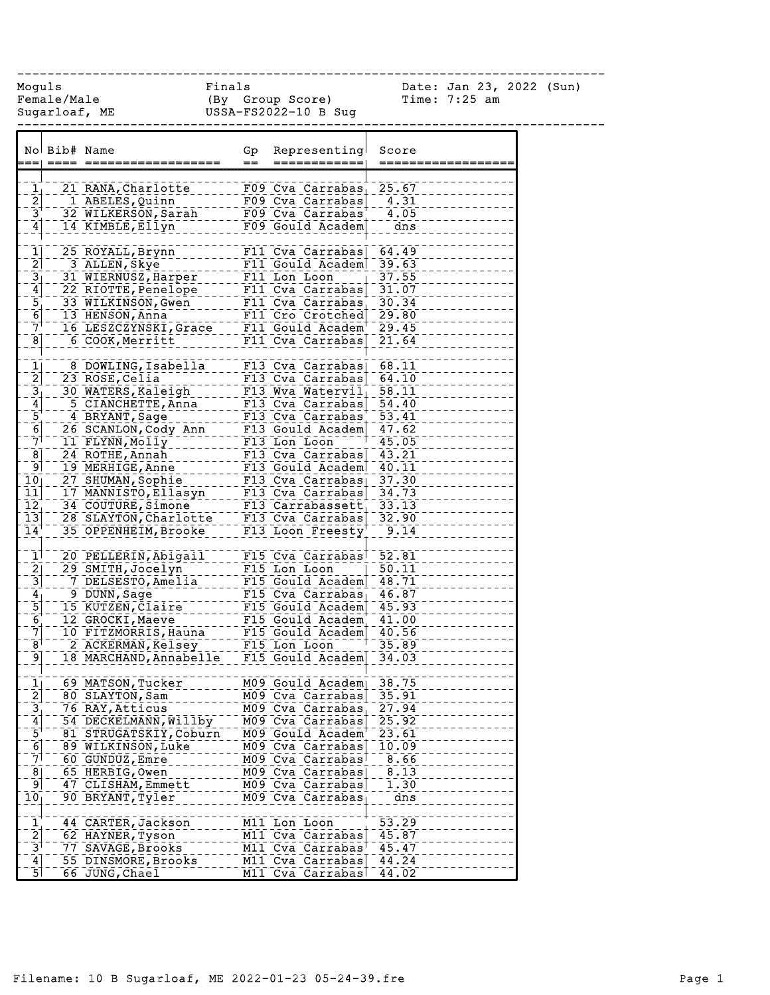| Moquls                                                                | Female/Male  | Sugarloaf, ME                                                                    | Finals |      | (By Group Score)<br>USSA-FS2022-10 B Sug                                              |                    | Date: Jan 23, 2022 (Sun)<br>Time: $7:25$ am |  |
|-----------------------------------------------------------------------|--------------|----------------------------------------------------------------------------------|--------|------|---------------------------------------------------------------------------------------|--------------------|---------------------------------------------|--|
|                                                                       | No Bib# Name |                                                                                  |        | Gp   | Representing                                                                          | Score              |                                             |  |
|                                                                       |              | :==  ====  ===========                                                           |        | $==$ | ============                                                                          | =======            |                                             |  |
|                                                                       |              |                                                                                  |        |      |                                                                                       |                    |                                             |  |
| $\frac{1}{2}$ $\frac{2}{3}$                                           |              | 21 RANA, Charlotte<br>1 ABELES, Quinn                                            |        |      | F09 Cva Carrabas 25.67<br>F09 Cva Carrabas                                            | $-4.31$            |                                             |  |
|                                                                       |              | 32 WILKERSON, Sarah <sup>11</sup>                                                |        |      |                                                                                       | 4.05               |                                             |  |
| $\overline{4}$                                                        |              | 14 KIMBLE, Ellyn                                                                 |        |      | Carrabas   EDST CARRABAS   EDST CVA CARRABAS  <br>  FO9 Cva Carrabas   EDST COULD FOR | $\overline{dns}$   |                                             |  |
|                                                                       |              |                                                                                  |        |      |                                                                                       |                    |                                             |  |
| $\mathbf{1}$                                                          |              | 25 ROYALL, Brynn                                                                 |        |      | F11 Cva Carrabas                                                                      | 64.49              |                                             |  |
| $\overline{2}$                                                        |              | 3 ALLEN, Skye                                                                    |        |      | F11 Gould Academ                                                                      | 39.63              |                                             |  |
| $3\frac{3}{4}$ $-5\frac{1}{6}$ $-7$                                   |              | 31 WIERNUSZ, Harper F11 Lon Loon                                                 |        |      |                                                                                       | 37.55              |                                             |  |
|                                                                       |              | ZZ KIOTTE,Penelope<br>33 WILKINSON,Gwen<br>13 WILKINSON,Gwen<br>13 HENSON,Anna   |        |      |                                                                                       | 31.07              |                                             |  |
|                                                                       |              |                                                                                  |        |      |                                                                                       | 30.34              |                                             |  |
|                                                                       |              | 13 HENSON, Anna<br>16 LESZCZYNSKI, Grace F11 Gould Academ <sup>+</sup>           |        |      | F11 Cro Crotched                                                                      | 29.80<br>29.45     |                                             |  |
| $\overline{8}$                                                        |              | 6 COOK, Merritt                                                                  |        |      | F11 Cva Carrabas                                                                      | 21.64              |                                             |  |
|                                                                       |              |                                                                                  |        |      |                                                                                       |                    |                                             |  |
|                                                                       |              | 8 DOWLING, Isabella                                                              |        |      | F13 Cva Carrabas                                                                      | 68.11              |                                             |  |
| $\frac{1}{2}$                                                         |              | 23 ROSE, Celia                                                                   |        |      | $F13$ Cva Carrabas                                                                    | 64.10              |                                             |  |
|                                                                       |              |                                                                                  |        |      |                                                                                       | 58.11              |                                             |  |
| $\frac{3}{4}$ $\frac{4}{5}$ $\frac{5}{6}$                             |              | 5 CIANCHETTE, Anna                                                               |        |      | F13 Cva Carrabas                                                                      | $\overline{54.40}$ |                                             |  |
|                                                                       |              | 4 BRYANT, Sage                                                                   |        |      | F13 Cva Carrabas <sup>+</sup>                                                         | $\overline{53.41}$ |                                             |  |
|                                                                       |              | 26 SCANLON, Cody Ann _____ F13 Gould Academ                                      |        |      |                                                                                       | 47.62              |                                             |  |
| $\bar{7}$                                                             |              | 11 FLYNN, Molly                                                                  |        |      | F13 Lon Loon                                                                          | 45.05              |                                             |  |
| $\overline{8}$                                                        |              |                                                                                  |        |      |                                                                                       | 43.21              |                                             |  |
| او⊺                                                                   |              |                                                                                  |        |      |                                                                                       | 40.11              |                                             |  |
| $\bar{10}$                                                            |              |                                                                                  |        |      |                                                                                       | 37.30              |                                             |  |
| $\overline{11}$<br>$\overline{1}\overline{2}$                         |              | 17 MANNISTO, Ellasyn 1113 Cva Carrabas  <br>34 COUTURE, Simone 113 Carrabassett, |        |      |                                                                                       | 34.73<br>33.13     |                                             |  |
| $\overline{13}$                                                       |              | 28 SLAYTON, Charlotte F13 Cva Carrabas                                           |        |      |                                                                                       | 32.90              |                                             |  |
| $\overline{1}\overline{4}$                                            |              | 35 OPPENHEIM, Brooke                                                             |        |      | $F13$ Loon Freesty                                                                    | 9.14               |                                             |  |
|                                                                       |              |                                                                                  |        |      |                                                                                       |                    |                                             |  |
| $\overline{1}$                                                        |              | 20 PELLERIN, Abigail F15 Cva Carrabas                                            |        |      |                                                                                       | 52.81              |                                             |  |
| $\frac{2}{3}$                                                         |              | 29 SMITH, Jocelyn                                                                |        |      | F15 Lon Loon                                                                          | $\overline{50.11}$ |                                             |  |
|                                                                       |              | 7 DELSESTO, Amelia                                                               |        |      | F15 Gould Academ                                                                      | 48.71              |                                             |  |
| $\frac{4}{5}$ $\frac{5}{6}$                                           |              | 9 DUNN, Sage                                                                     |        |      | F15 Cva Carrabas                                                                      | 46.87              |                                             |  |
|                                                                       |              | 9 DUNN, baye<br>15 KUTZEN, Claire<br>15 KUTZEN, Claire                           |        |      |                                                                                       | 45.93              |                                             |  |
| $\bar{7}$                                                             |              | 12 GROCKI, Maeve                                                                 |        |      | F15 Gould Academ                                                                      | 41.00              |                                             |  |
| $\mathsf{B}^{\dagger}$                                                |              | 10 FITZMORRIS, Hauna<br>2 ACKERMAN, Kelsey                                       |        |      | F15 Gould Academ<br>F15 Lon Loon                                                      | 40.56<br>35.89     |                                             |  |
| -91                                                                   |              | 18 MARCHAND, Annabelle                                                           |        |      | F15 Gould Academ                                                                      | 34.03              |                                             |  |
|                                                                       |              |                                                                                  |        |      |                                                                                       |                    |                                             |  |
|                                                                       |              | 69 MATSON, Tucker                                                                |        |      | M09 Gould Academ                                                                      | 38.75              |                                             |  |
| $\frac{1}{2}$ $\frac{2}{3}$ $\frac{3}{4}$ $\frac{4}{5}$ $\frac{5}{6}$ |              | 80 SLAYTON, Sam                                                                  |        |      | M09 Cva Carrabas                                                                      | 35.91              |                                             |  |
|                                                                       |              | 76 RAY, Atticus                                                                  |        |      | M09 Cva Carrabas                                                                      | 27.94              |                                             |  |
|                                                                       |              | 54 DECKELMANN, Willby                                                            |        |      | M09 Cva Carrabas                                                                      | 25.92              |                                             |  |
|                                                                       |              | 81 STRUGATSKIY, Coburn                                                           |        |      | M09 Gould Academ                                                                      | 23.61              |                                             |  |
|                                                                       |              | 89 WILKINSON, Luke                                                               |        |      | M09 Cva Carrabas                                                                      | 10.09              |                                             |  |
| 71                                                                    |              | 60 GUNDUZ, Emre                                                                  |        |      | M09 Cva Carrabas                                                                      | 8.66               |                                             |  |
| $\frac{8}{9}$                                                         |              | 65 HERBIG, Owen                                                                  |        |      | M09 Cva Carrabas<br>M09 Cva Carrabas                                                  | 8.13               |                                             |  |
| $\overline{10}$                                                       |              | 47 CLISHAM, Emmett<br>90 BRYANT, Tyler                                           |        |      | M09 Cva Carrabas                                                                      | 1.30<br>dns        |                                             |  |
|                                                                       |              |                                                                                  |        |      |                                                                                       |                    |                                             |  |
|                                                                       |              | 44 CARTER, Jackson                                                               |        |      | M11 Lon Loon                                                                          | $\overline{53.29}$ |                                             |  |
|                                                                       |              | 62 HAYNER, Tyson                                                                 |        |      | M11 Cva Carrabas                                                                      | 45.87              |                                             |  |
| $\frac{1}{2}$ $\frac{2}{3}$ $\frac{3}{4}$                             |              | 77 SAVAGE, Brooks                                                                |        |      | M11 Cva Carrabas                                                                      | 45.47              |                                             |  |
|                                                                       |              | 55 DINSMORE, Brooks                                                              |        |      | M11 Cva Carrabas                                                                      | 44.24              |                                             |  |
| $\overline{5}$                                                        |              | 66 JUNG, Chael                                                                   |        |      | M11 Cva Carrabas                                                                      | 44.02              |                                             |  |

------------------------------------------------------------------------------